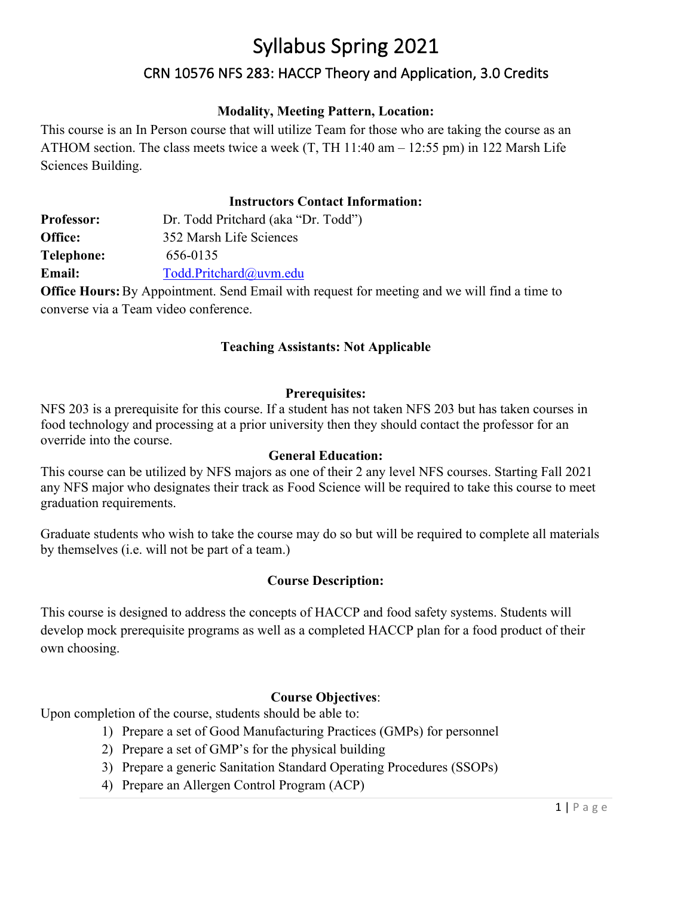# Syllabus Spring 2021

## CRN 10576 NFS 283: HACCP Theory and Application, 3.0 Credits

### **Modality, Meeting Pattern, Location:**

This course is an In Person course that will utilize Team for those who are taking the course as an ATHOM section. The class meets twice a week (T, TH 11:40 am – 12:55 pm) in 122 Marsh Life Sciences Building.

### **Instructors Contact Information:**

| <b>Professor:</b> | Dr. Todd Pritchard (aka "Dr. Todd")                                                                 |
|-------------------|-----------------------------------------------------------------------------------------------------|
| Office:           | 352 Marsh Life Sciences                                                                             |
| Telephone:        | 656-0135                                                                                            |
| Email:            | Todd.Pritchard@uvm.edu                                                                              |
|                   | <b>Office Hours:</b> By Appointment. Send Email with request for meeting and we will find a time to |

converse via a Team video conference.

### **Teaching Assistants: Not Applicable**

#### **Prerequisites:**

NFS 203 is a prerequisite for this course. If a student has not taken NFS 203 but has taken courses in food technology and processing at a prior university then they should contact the professor for an override into the course.

#### **General Education:**

This course can be utilized by NFS majors as one of their 2 any level NFS courses. Starting Fall 2021 any NFS major who designates their track as Food Science will be required to take this course to meet graduation requirements.

Graduate students who wish to take the course may do so but will be required to complete all materials by themselves (i.e. will not be part of a team.)

### **Course Description:**

This course is designed to address the concepts of HACCP and food safety systems. Students will develop mock prerequisite programs as well as a completed HACCP plan for a food product of their own choosing.

### **Course Objectives**:

Upon completion of the course, students should be able to:

- 1) Prepare a set of Good Manufacturing Practices (GMPs) for personnel
- 2) Prepare a set of GMP's for the physical building
- 3) Prepare a generic Sanitation Standard Operating Procedures (SSOPs)
- 4) Prepare an Allergen Control Program (ACP)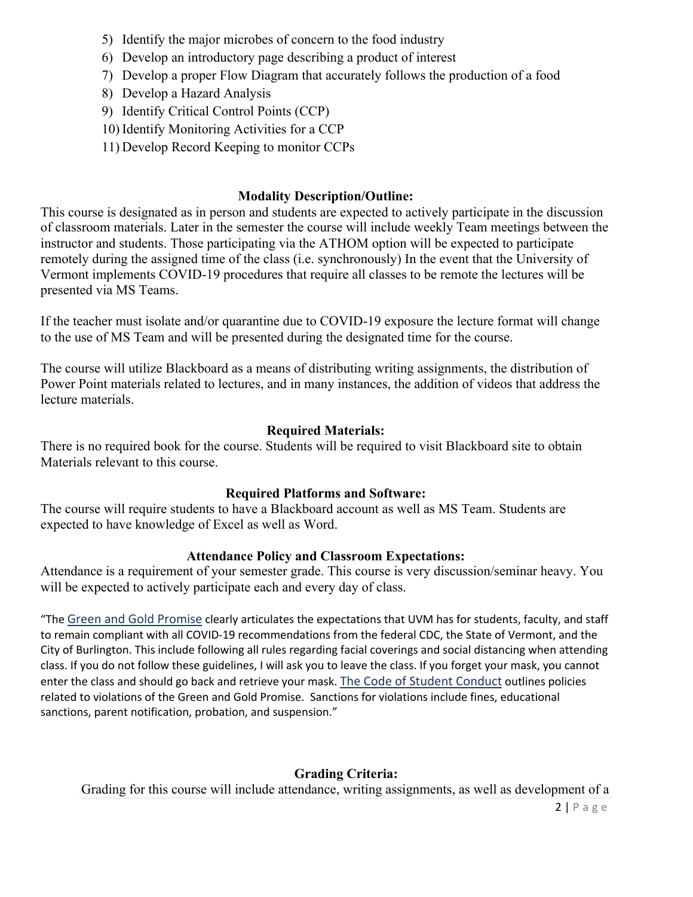- 5) Identify the major microbes of concern to the food industry
- 6) Develop an introductory page describing a product of interest
- 7) Develop a proper Flow Diagram that accurately follows the production of a food
- 8) Develop a Hazard Analysis
- 9) Identify Critical Control Points (CCP)
- 10) Identify Monitoring Activities for a CCP
- 11) Develop Record Keeping to monitor CCPs

#### **Modality Description/Outline:**

This course is designated as in person and students are expected to actively participate in the discussion of classroom materials. Later in the semester the course will include weekly Team meetings between the instructor and students. Those participating via the ATHOM option will be expected to participate remotely during the assigned time of the class (i.e. synchronously) In the event that the University of Vermont implements COVID-19 procedures that require all classes to be remote the lectures will be presented via MS Teams.

If the teacher must isolate and/or quarantine due to COVID-19 exposure the lecture format will change to the use of MS Team and will be presented during the designated time for the course.

The course will utilize Blackboard as a means of distributing writing assignments, the distribution of Power Point materials related to lectures, and in many instances, the addition of videos that address the lecture materials.

#### **Required Materials:**

There is no required book for the course. Students will be required to visit Blackboard site to obtain Materials relevant to this course.

#### **Required Platforms and Software:**

The course will require students to have a Blackboard account as well as MS Team. Students are expected to have knowledge of Excel as well as Word.

#### **Attendance Policy and Classroom Expectations:**

Attendance is a requirement of your semester grade. This course is very discussion/seminar heavy. You will be expected to actively participate each and every day of class.

"The Green and Gold Promise clearly articulates the expectations that UVM has for students, faculty, and staff to remain compliant with all COVID-19 recommendations from the federal CDC, the State of Vermont, and the City of Burlington. This include following all rules regarding facial coverings and social distancing when attending class. If you do not follow these guidelines, I will ask you to leave the class. If you forget your mask, you cannot enter the class and should go back and retrieve your mask. The Code of Student Conduct outlines policies related to violations of the Green and Gold Promise. Sanctions for violations include fines, educational sanctions, parent notification, probation, and suspension."

#### **Grading Criteria:**

Grading for this course will include attendance, writing assignments, as well as development of a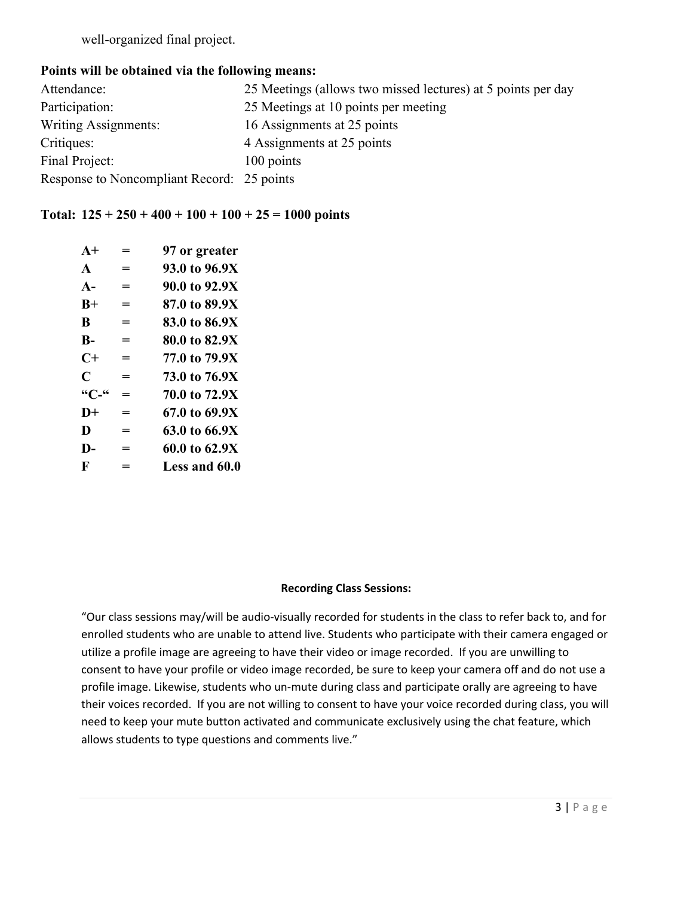well-organized final project.

#### **Points will be obtained via the following means:**

| Attendance:                                | 25 Meetings (allows two missed lectures) at 5 points per day |
|--------------------------------------------|--------------------------------------------------------------|
| Participation:                             | 25 Meetings at 10 points per meeting                         |
| <b>Writing Assignments:</b>                | 16 Assignments at 25 points                                  |
| Critiques:                                 | 4 Assignments at 25 points                                   |
| Final Project:                             | 100 points                                                   |
| Response to Noncompliant Record: 25 points |                                                              |

#### **Total: 125 + 250 + 400 + 100 + 100 + 25 = 1000 points**

| $A+$         | =   | 97 or greater |
|--------------|-----|---------------|
| $\mathbf{A}$ | =   | 93.0 to 96.9X |
| $A -$        | =   | 90.0 to 92.9X |
| $B+$         | =   | 87.0 to 89.9X |
| R            | =   | 83.0 to 86.9X |
| $\mathbf{B}$ | =   | 80.0 to 82.9X |
| $C+$         | =   | 77.0 to 79.9X |
| C            | =   | 73.0 to 76.9X |
| "C-"         | =   | 70.0 to 72.9X |
| $D+$         | =   | 67.0 to 69.9X |
| D            | =   | 63.0 to 66.9X |
| D-           | $=$ | 60.0 to 62.9X |
| F            |     | Less and 60.0 |

#### **Recording Class Sessions:**

"Our class sessions may/will be audio-visually recorded for students in the class to refer back to, and for enrolled students who are unable to attend live. Students who participate with their camera engaged or utilize a profile image are agreeing to have their video or image recorded. If you are unwilling to consent to have your profile or video image recorded, be sure to keep your camera off and do not use a profile image. Likewise, students who un-mute during class and participate orally are agreeing to have their voices recorded. If you are not willing to consent to have your voice recorded during class, you will need to keep your mute button activated and communicate exclusively using the chat feature, which allows students to type questions and comments live."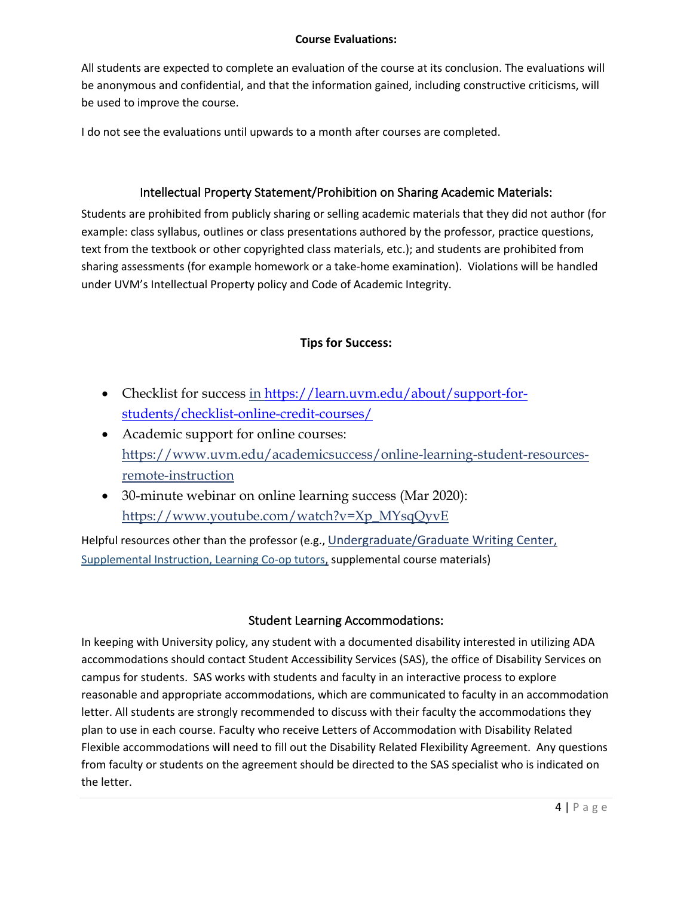#### **Course Evaluations:**

All students are expected to complete an evaluation of the course at its conclusion. The evaluations will be anonymous and confidential, and that the information gained, including constructive criticisms, will be used to improve the course.

I do not see the evaluations until upwards to a month after courses are completed.

#### Intellectual Property Statement/Prohibition on Sharing Academic Materials:

Students are prohibited from publicly sharing or selling academic materials that they did not author (for example: class syllabus, outlines or class presentations authored by the professor, practice questions, text from the textbook or other copyrighted class materials, etc.); and students are prohibited from sharing assessments (for example homework or a take-home examination). Violations will be handled under UVM's Intellectual Property policy and Code of Academic Integrity.

#### **Tips for Success:**

- Checklist for success in https://learn.uvm.edu/about/support-forstudents/checklist-online-credit-courses/
- Academic support for online courses: https://www.uvm.edu/academicsuccess/online-learning-student-resourcesremote-instruction
- 30-minute webinar on online learning success (Mar 2020): https://www.youtube.com/watch?v=Xp\_MYsqQyvE

Helpful resources other than the professor (e.g., Undergraduate/Graduate Writing Center, Supplemental Instruction, Learning Co-op tutors, supplemental course materials)

### Student Learning Accommodations:

In keeping with University policy, any student with a documented disability interested in utilizing ADA accommodations should contact Student Accessibility Services (SAS), the office of Disability Services on campus for students. SAS works with students and faculty in an interactive process to explore reasonable and appropriate accommodations, which are communicated to faculty in an accommodation letter. All students are strongly recommended to discuss with their faculty the accommodations they plan to use in each course. Faculty who receive Letters of Accommodation with Disability Related Flexible accommodations will need to fill out the Disability Related Flexibility Agreement. Any questions from faculty or students on the agreement should be directed to the SAS specialist who is indicated on the letter.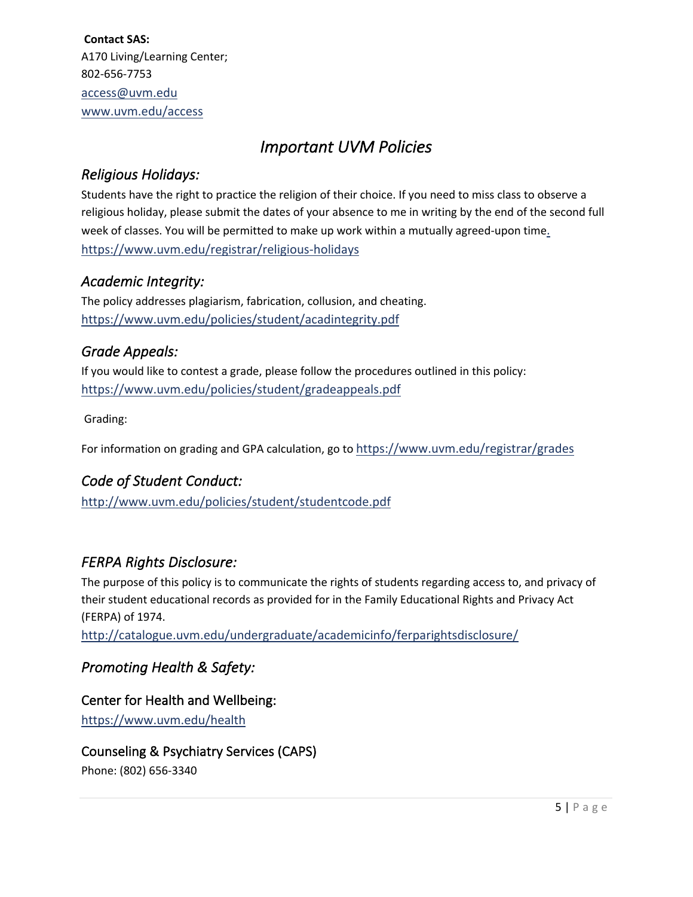**Contact SAS:** A170 Living/Learning Center; 802-656-7753 access@uvm.edu www.uvm.edu/access

# *Important UVM Policies*

# *Religious Holidays:*

Students have the right to practice the religion of their choice. If you need to miss class to observe a religious holiday, please submit the dates of your absence to me in writing by the end of the second full week of classes. You will be permitted to make up work within a mutually agreed-upon time. https://www.uvm.edu/registrar/religious-holidays

# *Academic Integrity:*

The policy addresses plagiarism, fabrication, collusion, and cheating. https://www.uvm.edu/policies/student/acadintegrity.pdf

## *Grade Appeals:*

If you would like to contest a grade, please follow the procedures outlined in this policy: https://www.uvm.edu/policies/student/gradeappeals.pdf

### Grading:

For information on grading and GPA calculation, go to https://www.uvm.edu/registrar/grades

# *Code of Student Conduct:*

http://www.uvm.edu/policies/student/studentcode.pdf

# *FERPA Rights Disclosure:*

The purpose of this policy is to communicate the rights of students regarding access to, and privacy of their student educational records as provided for in the Family Educational Rights and Privacy Act (FERPA) of 1974.

http://catalogue.uvm.edu/undergraduate/academicinfo/ferparightsdisclosure/

# *Promoting Health & Safety:*

### Center for Health and Wellbeing:

https://www.uvm.edu/health

### Counseling & Psychiatry Services (CAPS)

Phone: (802) 656-3340